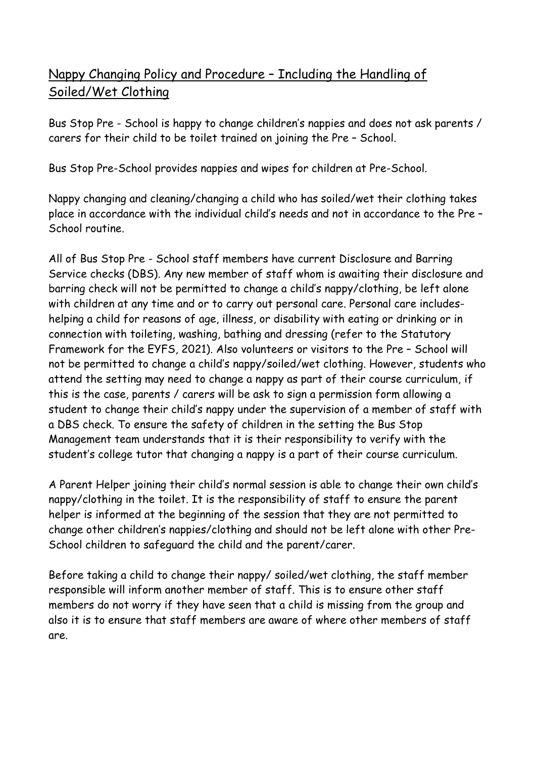## Nappy Changing Policy and Procedure – Including the Handling of Soiled/Wet Clothing

Bus Stop Pre - School is happy to change children's nappies and does not ask parents / carers for their child to be toilet trained on joining the Pre – School.

Bus Stop Pre-School provides nappies and wipes for children at Pre-School.

Nappy changing and cleaning/changing a child who has soiled/wet their clothing takes place in accordance with the individual child's needs and not in accordance to the Pre – School routine.

All of Bus Stop Pre - School staff members have current Disclosure and Barring Service checks (DBS). Any new member of staff whom is awaiting their disclosure and barring check will not be permitted to change a child's nappy/clothing, be left alone with children at any time and or to carry out personal care. Personal care includeshelping a child for reasons of age, illness, or disability with eating or drinking or in connection with toileting, washing, bathing and dressing (refer to the Statutory Framework for the EYFS, 2021). Also volunteers or visitors to the Pre – School will not be permitted to change a child's nappy/soiled/wet clothing. However, students who attend the setting may need to change a nappy as part of their course curriculum, if this is the case, parents / carers will be ask to sign a permission form allowing a student to change their child's nappy under the supervision of a member of staff with a DBS check. To ensure the safety of children in the setting the Bus Stop Management team understands that it is their responsibility to verify with the student's college tutor that changing a nappy is a part of their course curriculum.

A Parent Helper joining their child's normal session is able to change their own child's nappy/clothing in the toilet. It is the responsibility of staff to ensure the parent helper is informed at the beginning of the session that they are not permitted to change other children's nappies/clothing and should not be left alone with other Pre-School children to safeguard the child and the parent/carer.

Before taking a child to change their nappy/ soiled/wet clothing, the staff member responsible will inform another member of staff. This is to ensure other staff members do not worry if they have seen that a child is missing from the group and also it is to ensure that staff members are aware of where other members of staff are.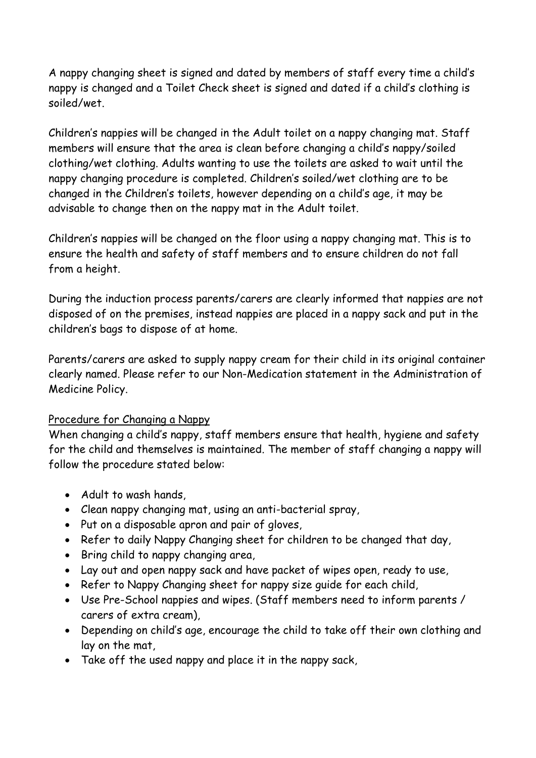A nappy changing sheet is signed and dated by members of staff every time a child's nappy is changed and a Toilet Check sheet is signed and dated if a child's clothing is soiled/wet.

Children's nappies will be changed in the Adult toilet on a nappy changing mat. Staff members will ensure that the area is clean before changing a child's nappy/soiled clothing/wet clothing. Adults wanting to use the toilets are asked to wait until the nappy changing procedure is completed. Children's soiled/wet clothing are to be changed in the Children's toilets, however depending on a child's age, it may be advisable to change then on the nappy mat in the Adult toilet.

Children's nappies will be changed on the floor using a nappy changing mat. This is to ensure the health and safety of staff members and to ensure children do not fall from a height.

During the induction process parents/carers are clearly informed that nappies are not disposed of on the premises, instead nappies are placed in a nappy sack and put in the children's bags to dispose of at home.

Parents/carers are asked to supply nappy cream for their child in its original container clearly named. Please refer to our Non-Medication statement in the Administration of Medicine Policy.

## Procedure for Changing a Nappy

When changing a child's nappy, staff members ensure that health, hygiene and safety for the child and themselves is maintained. The member of staff changing a nappy will follow the procedure stated below:

- Adult to wash hands,
- Clean nappy changing mat, using an anti-bacterial spray,
- Put on a disposable apron and pair of gloves,
- Refer to daily Nappy Changing sheet for children to be changed that day,
- Bring child to nappy changing area,
- Lay out and open nappy sack and have packet of wipes open, ready to use,
- Refer to Nappy Changing sheet for nappy size guide for each child,
- Use Pre-School nappies and wipes. (Staff members need to inform parents / carers of extra cream),
- Depending on child's age, encourage the child to take off their own clothing and lay on the mat,
- Take off the used nappy and place it in the nappy sack,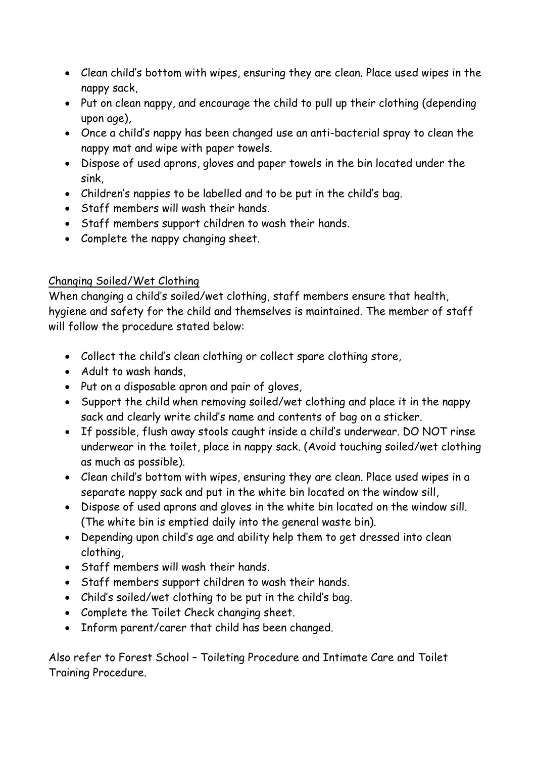- Clean child's bottom with wipes, ensuring they are clean. Place used wipes in the nappy sack,
- Put on clean nappy, and encourage the child to pull up their clothing (depending upon age),
- Once a child's nappy has been changed use an anti-bacterial spray to clean the nappy mat and wipe with paper towels.
- Dispose of used aprons, gloves and paper towels in the bin located under the sink,
- Children's nappies to be labelled and to be put in the child's bag.
- Staff members will wash their hands.
- Staff members support children to wash their hands.
- Complete the nappy changing sheet.

## Changing Soiled/Wet Clothing

When changing a child's soiled/wet clothing, staff members ensure that health, hygiene and safety for the child and themselves is maintained. The member of staff will follow the procedure stated below:

- Collect the child's clean clothing or collect spare clothing store,
- Adult to wash hands
- Put on a disposable apron and pair of gloves,
- Support the child when removing soiled/wet clothing and place it in the nappy sack and clearly write child's name and contents of bag on a sticker.
- If possible, flush away stools caught inside a child's underwear. DO NOT rinse underwear in the toilet, place in nappy sack. (Avoid touching soiled/wet clothing as much as possible).
- Clean child's bottom with wipes, ensuring they are clean. Place used wipes in a separate nappy sack and put in the white bin located on the window sill,
- Dispose of used aprons and gloves in the white bin located on the window sill. (The white bin is emptied daily into the general waste bin).
- Depending upon child's age and ability help them to get dressed into clean clothing,
- Staff members will wash their hands.
- Staff members support children to wash their hands.
- Child's soiled/wet clothing to be put in the child's bag.
- Complete the Toilet Check changing sheet.
- Inform parent/carer that child has been changed.

Also refer to Forest School – Toileting Procedure and Intimate Care and Toilet Training Procedure.